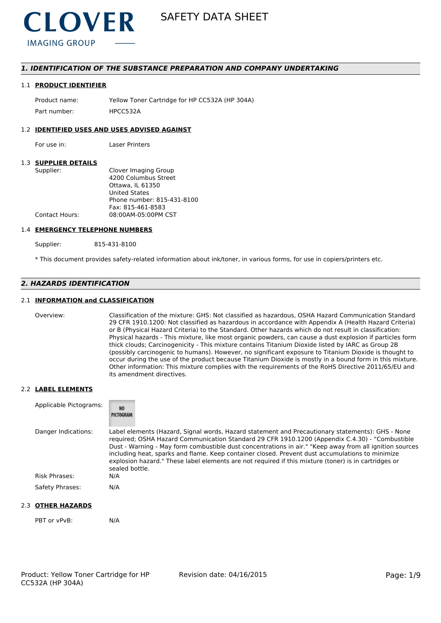

### *1. IDENTIFICATION OF THE SUBSTANCE PREPARATION AND COMPANY UNDERTAKING*

#### 1.1 **PRODUCT IDENTIFIER**

Product name: Yellow Toner Cartridge for HP CC532A (HP 304A) Part number: HPCC5324

#### 1.2 **IDENTIFIED USES AND USES ADVISED AGAINST**

For use in: Laser Printers

#### 1.3 **SUPPLIER DETAILS**

| Supplier:      | Clover Imaging Group       |
|----------------|----------------------------|
|                | 4200 Columbus Street       |
|                | Ottawa. IL 61350           |
|                | United States              |
|                | Phone number: 815-431-8100 |
|                | Fax: 815-461-8583          |
| Contact Hours: | 08:00AM-05:00PM CST        |
|                |                            |

#### 1.4 **EMERGENCY TELEPHONE NUMBERS**

Supplier: 815-431-8100

\* This document provides safety-related information about ink/toner, in various forms, for use in copiers/printers etc.

# *2. HAZARDS IDENTIFICATION*

#### 2.1 **INFORMATION and CLASSIFICATION**

Overview: Classification of the mixture: GHS: Not classified as hazardous, OSHA Hazard Communication Standard 29 CFR 1910.1200: Not classified as hazardous in accordance with Appendix A (Health Hazard Criteria) or B (Physical Hazard Criteria) to the Standard. Other hazards which do not result in classification: Physical hazards - This mixture, like most organic powders, can cause a dust explosion if particles form thick clouds; Carcinogenicity - This mixture contains Titanium Dioxide listed by IARC as Group 2B (possibly carcinogenic to humans). However, no significant exposure to Titanium Dioxide is thought to occur during the use of the product because Titanium Dioxide is mostly in a bound form in this mixture. Other information: This mixture complies with the requirements of the RoHS Directive 2011/65/EU and its amendment directives.

#### 2.2 **LABEL ELEMENTS**

| Applicable Pictograms: | <b>NO</b><br>PICTOGRAM                                                                                                                                                                                                                                                                                                                                                                                                                                                                                                                     |
|------------------------|--------------------------------------------------------------------------------------------------------------------------------------------------------------------------------------------------------------------------------------------------------------------------------------------------------------------------------------------------------------------------------------------------------------------------------------------------------------------------------------------------------------------------------------------|
| Danger Indications:    | Label elements (Hazard, Signal words, Hazard statement and Precautionary statements): GHS - None<br>required; OSHA Hazard Communication Standard 29 CFR 1910.1200 (Appendix C.4.30) - "Combustible<br>Dust - Warning - May form combustible dust concentrations in air." "Keep away from all ignition sources<br>including heat, sparks and flame. Keep container closed. Prevent dust accumulations to minimize<br>explosion hazard." These label elements are not required if this mixture (toner) is in cartridges or<br>sealed bottle. |
| <b>Risk Phrases:</b>   | N/A                                                                                                                                                                                                                                                                                                                                                                                                                                                                                                                                        |
| Safety Phrases:        | N/A                                                                                                                                                                                                                                                                                                                                                                                                                                                                                                                                        |

#### 2.3 **OTHER HAZARDS**

PBT or vPvB: N/A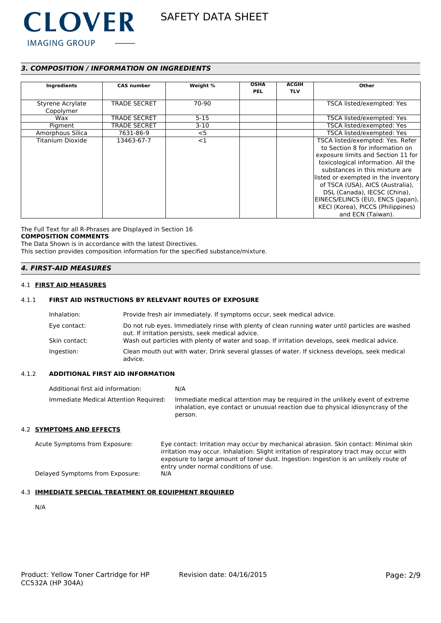

# *3. COMPOSITION / INFORMATION ON INGREDIENTS*

| Ingredients                   | <b>CAS number</b>   | Weight % | <b>OSHA</b><br><b>PEL</b> | <b>ACGIH</b><br><b>TLV</b> | Other                                                                                                                                                                                                                                                                                                                                                                                       |
|-------------------------------|---------------------|----------|---------------------------|----------------------------|---------------------------------------------------------------------------------------------------------------------------------------------------------------------------------------------------------------------------------------------------------------------------------------------------------------------------------------------------------------------------------------------|
| Styrene Acrylate<br>Copolymer | <b>TRADE SECRET</b> | 70-90    |                           |                            | TSCA listed/exempted: Yes                                                                                                                                                                                                                                                                                                                                                                   |
| Wax                           | <b>TRADE SECRET</b> | $5 - 15$ |                           |                            | TSCA listed/exempted: Yes                                                                                                                                                                                                                                                                                                                                                                   |
| Pigment                       | <b>TRADE SECRET</b> | $3-10$   |                           |                            | TSCA listed/exempted: Yes                                                                                                                                                                                                                                                                                                                                                                   |
| Amorphous Silica              | 7631-86-9           | $<$ 5    |                           |                            | TSCA listed/exempted: Yes                                                                                                                                                                                                                                                                                                                                                                   |
| Titanium Dioxide              | 13463-67-7          | <1       |                           |                            | TSCA listed/exempted: Yes. Refer<br>to Section 8 for information on<br>exposure limits and Section 11 for<br>toxicological information. All the<br>substances in this mixture are<br>listed or exempted in the inventory<br>of TSCA (USA), AICS (Australia),<br>DSL (Canada), IECSC (China),<br>EINECS/ELINCS (EU), ENCS (Japan),<br>KECI (Korea), PICCS (Philippines)<br>and ECN (Taiwan). |

The Full Text for all R-Phrases are Displayed in Section 16 **COMPOSITION COMMENTS**

The Data Shown is in accordance with the latest Directives.

This section provides composition information for the specified substance/mixture.

## *4. FIRST-AID MEASURES*

#### 4.1 **FIRST AID MEASURES**

### 4.1.1 **FIRST AID INSTRUCTIONS BY RELEVANT ROUTES OF EXPOSURE**

| Inhalation:   | Provide fresh air immediately. If symptoms occur, seek medical advice.                                                                                |
|---------------|-------------------------------------------------------------------------------------------------------------------------------------------------------|
| Eye contact:  | Do not rub eyes. Immediately rinse with plenty of clean running water until particles are washed<br>out. If irritation persists, seek medical advice. |
| Skin contact: | Wash out particles with plenty of water and soap. If irritation develops, seek medical advice.                                                        |
| Ingestion:    | Clean mouth out with water. Drink several glasses of water. If sickness develops, seek medical<br>advice.                                             |

#### 4.1.2 **ADDITIONAL FIRST AID INFORMATION**

Additional first aid information: N/A Immediate Medical Attention Required: Immediate medical attention may be required in the unlikely event of extreme inhalation, eye contact or unusual reaction due to physical idiosyncrasy of the person.

#### 4.2 **SYMPTOMS AND EFFECTS**

Acute Symptoms from Exposure: Eye contact: Irritation may occur by mechanical abrasion. Skin contact: Minimal skin irritation may occur. Inhalation: Slight irritation of respiratory tract may occur with exposure to large amount of toner dust. Ingestion: Ingestion is an unlikely route of entry under normal conditions of use. Delayed Symptoms from Exposure: N/A

#### 4.3 **IMMEDIATE SPECIAL TREATMENT OR EQUIPMENT REQUIRED**

N/A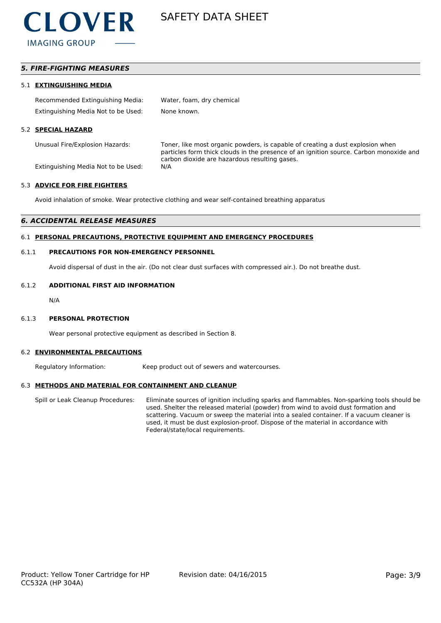

## *5. FIRE-FIGHTING MEASURES*

#### 5.1 **EXTINGUISHING MEDIA**

| Recommended Extinguishing Media:    | Water, foam, dry chemical |
|-------------------------------------|---------------------------|
| Extinguishing Media Not to be Used: | None known.               |

#### 5.2 **SPECIAL HAZARD**

Unusual Fire/Explosion Hazards: Toner, like most organic powders, is capable of creating a dust explosion when particles form thick clouds in the presence of an ignition source. Carbon monoxide and carbon dioxide are hazardous resulting gases.

Extinguishing Media Not to be Used: N/A

#### 5.3 **ADVICE FOR FIRE FIGHTERS**

Avoid inhalation of smoke. Wear protective clothing and wear self-contained breathing apparatus

#### *6. ACCIDENTAL RELEASE MEASURES*

#### 6.1 **PERSONAL PRECAUTIONS, PROTECTIVE EQUIPMENT AND EMERGENCY PROCEDURES**

#### 6.1.1 **PRECAUTIONS FOR NON-EMERGENCY PERSONNEL**

Avoid dispersal of dust in the air. (Do not clear dust surfaces with compressed air.). Do not breathe dust.

#### 6.1.2 **ADDITIONAL FIRST AID INFORMATION**

N/A

#### 6.1.3 **PERSONAL PROTECTION**

Wear personal protective equipment as described in Section 8.

#### 6.2 **ENVIRONMENTAL PRECAUTIONS**

Regulatory Information: Keep product out of sewers and watercourses.

#### 6.3 **METHODS AND MATERIAL FOR CONTAINMENT AND CLEANUP**

Spill or Leak Cleanup Procedures: Eliminate sources of ignition including sparks and flammables. Non-sparking tools should be used. Shelter the released material (powder) from wind to avoid dust formation and scattering. Vacuum or sweep the material into a sealed container. If a vacuum cleaner is used, it must be dust explosion-proof. Dispose of the material in accordance with Federal/state/local requirements.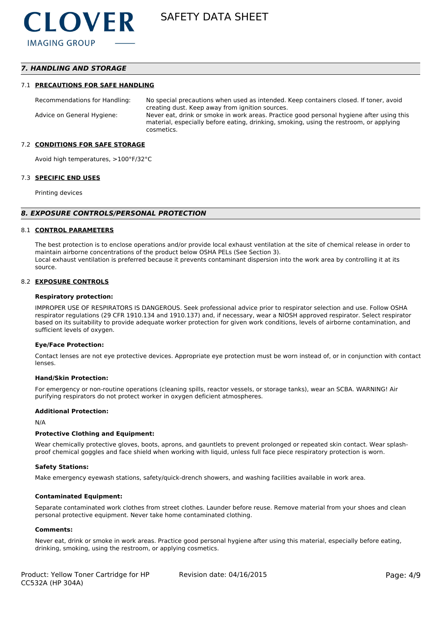## *7. HANDLING AND STORAGE*

#### 7.1 **PRECAUTIONS FOR SAFE HANDLING**

Recommendations for Handling: No special precautions when used as intended. Keep containers closed. If toner, avoid creating dust. Keep away from ignition sources. Advice on General Hygiene: Never eat, drink or smoke in work areas. Practice good personal hygiene after using this material, especially before eating, drinking, smoking, using the restroom, or applying cosmetics.

#### 7.2 **CONDITIONS FOR SAFE STORAGE**

Avoid high temperatures, >100°F/32°C

#### 7.3 **SPECIFIC END USES**

Printing devices

#### *8. EXPOSURE CONTROLS/PERSONAL PROTECTION*

#### 8.1 **CONTROL PARAMETERS**

The best protection is to enclose operations and/or provide local exhaust ventilation at the site of chemical release in order to maintain airborne concentrations of the product below OSHA PELs (See Section 3). Local exhaust ventilation is preferred because it prevents contaminant dispersion into the work area by controlling it at its source.

#### 8.2 **EXPOSURE CONTROLS**

#### **Respiratory protection:**

IMPROPER USE OF RESPIRATORS IS DANGEROUS. Seek professional advice prior to respirator selection and use. Follow OSHA respirator regulations (29 CFR 1910.134 and 1910.137) and, if necessary, wear a NIOSH approved respirator. Select respirator based on its suitability to provide adequate worker protection for given work conditions, levels of airborne contamination, and sufficient levels of oxygen.

#### **Eye/Face Protection:**

Contact lenses are not eye protective devices. Appropriate eye protection must be worn instead of, or in conjunction with contact lenses.

#### **Hand/Skin Protection:**

For emergency or non-routine operations (cleaning spills, reactor vessels, or storage tanks), wear an SCBA. WARNING! Air purifying respirators do not protect worker in oxygen deficient atmospheres.

#### **Additional Protection:**

N/A

#### **Protective Clothing and Equipment:**

Wear chemically protective gloves, boots, aprons, and gauntlets to prevent prolonged or repeated skin contact. Wear splashproof chemical goggles and face shield when working with liquid, unless full face piece respiratory protection is worn.

#### **Safety Stations:**

Make emergency eyewash stations, safety/quick-drench showers, and washing facilities available in work area.

#### **Contaminated Equipment:**

Separate contaminated work clothes from street clothes. Launder before reuse. Remove material from your shoes and clean personal protective equipment. Never take home contaminated clothing.

#### **Comments:**

Never eat, drink or smoke in work areas. Practice good personal hygiene after using this material, especially before eating, drinking, smoking, using the restroom, or applying cosmetics.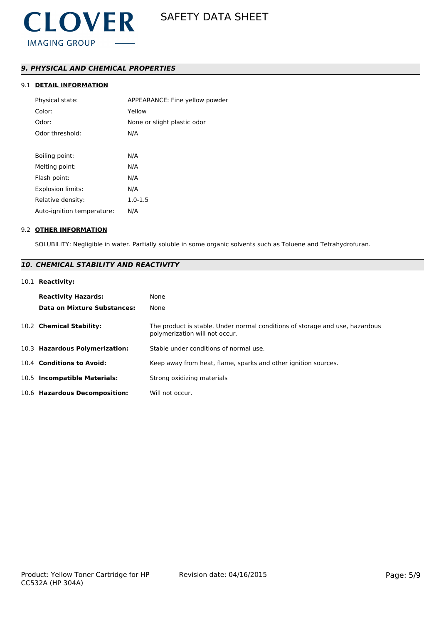# *9. PHYSICAL AND CHEMICAL PROPERTIES*

# 9.1 **DETAIL INFORMATION**

| Physical state:            | APPEARANCE: Fine yellow powder |
|----------------------------|--------------------------------|
| Color:                     | Yellow                         |
| Odor:                      | None or slight plastic odor    |
| Odor threshold:            | N/A                            |
|                            |                                |
| Boiling point:             | N/A                            |
| Melting point:             | N/A                            |
| Flash point:               | N/A                            |
| <b>Explosion limits:</b>   | N/A                            |
| Relative density:          | $1.0 - 1.5$                    |
| Auto-ignition temperature: | N/A                            |
|                            |                                |

#### 9.2 **OTHER INFORMATION**

SOLUBILITY: Negligible in water. Partially soluble in some organic solvents such as Toluene and Tetrahydrofuran.

# *10. CHEMICAL STABILITY AND REACTIVITY*

#### 10.1 **Reactivity:**

| <b>Reactivity Hazards:</b><br>Data on Mixture Substances: | None<br>None                                                                                                   |
|-----------------------------------------------------------|----------------------------------------------------------------------------------------------------------------|
| 10.2 Chemical Stability:                                  | The product is stable. Under normal conditions of storage and use, hazardous<br>polymerization will not occur. |
| 10.3 Hazardous Polymerization:                            | Stable under conditions of normal use.                                                                         |
| 10.4 Conditions to Avoid:                                 | Keep away from heat, flame, sparks and other ignition sources.                                                 |
| 10.5 Incompatible Materials:                              | Strong oxidizing materials                                                                                     |
| 10.6 Hazardous Decomposition:                             | Will not occur.                                                                                                |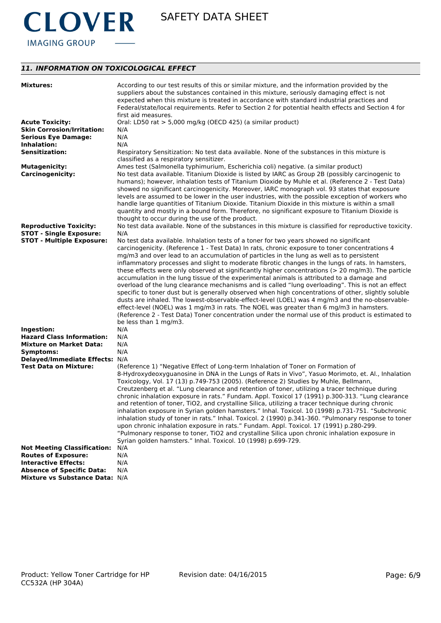

# *11. INFORMATION ON TOXICOLOGICAL EFFECT*

| <b>Mixtures:</b>                   | According to our test results of this or similar mixture, and the information provided by the<br>suppliers about the substances contained in this mixture, seriously damaging effect is not<br>expected when this mixture is treated in accordance with standard industrial practices and<br>Federal/state/local requirements. Refer to Section 2 for potential health effects and Section 4 for<br>first aid measures.                                                                                                                                                                                                                                           |
|------------------------------------|-------------------------------------------------------------------------------------------------------------------------------------------------------------------------------------------------------------------------------------------------------------------------------------------------------------------------------------------------------------------------------------------------------------------------------------------------------------------------------------------------------------------------------------------------------------------------------------------------------------------------------------------------------------------|
| <b>Acute Toxicity:</b>             | Oral: LD50 rat > 5,000 mg/kg (OECD 425) (a similar product)                                                                                                                                                                                                                                                                                                                                                                                                                                                                                                                                                                                                       |
| <b>Skin Corrosion/Irritation:</b>  | N/A                                                                                                                                                                                                                                                                                                                                                                                                                                                                                                                                                                                                                                                               |
| <b>Serious Eye Damage:</b>         | N/A                                                                                                                                                                                                                                                                                                                                                                                                                                                                                                                                                                                                                                                               |
| Inhalation:                        | N/A                                                                                                                                                                                                                                                                                                                                                                                                                                                                                                                                                                                                                                                               |
| <b>Sensitization:</b>              | Respiratory Sensitization: No test data available. None of the substances in this mixture is<br>classified as a respiratory sensitizer.                                                                                                                                                                                                                                                                                                                                                                                                                                                                                                                           |
| <b>Mutagenicity:</b>               | Ames test (Salmonella typhimurium, Escherichia coli) negative. (a similar product)                                                                                                                                                                                                                                                                                                                                                                                                                                                                                                                                                                                |
| <b>Carcinogenicity:</b>            | No test data available. Titanium Dioxide is listed by IARC as Group 2B (possibly carcinogenic to<br>humans); however, inhalation tests of Titanium Dioxide by Muhle et al. (Reference 2 - Test Data)<br>showed no significant carcinogenicity. Moreover, IARC monograph vol. 93 states that exposure<br>levels are assumed to be lower in the user industries, with the possible exception of workers who<br>handle large quantities of Titanium Dioxide. Titanium Dioxide in this mixture is within a small<br>quantity and mostly in a bound form. Therefore, no significant exposure to Titanium Dioxide is<br>thought to occur during the use of the product. |
| <b>Reproductive Toxicity:</b>      | No test data available. None of the substances in this mixture is classified for reproductive toxicity.                                                                                                                                                                                                                                                                                                                                                                                                                                                                                                                                                           |
| <b>STOT - Single Exposure:</b>     | N/A                                                                                                                                                                                                                                                                                                                                                                                                                                                                                                                                                                                                                                                               |
| <b>STOT - Multiple Exposure:</b>   | No test data available. Inhalation tests of a toner for two years showed no significant                                                                                                                                                                                                                                                                                                                                                                                                                                                                                                                                                                           |
|                                    | carcinogenicity. (Reference 1 - Test Data) In rats, chronic exposure to toner concentrations 4                                                                                                                                                                                                                                                                                                                                                                                                                                                                                                                                                                    |
|                                    | mg/m3 and over lead to an accumulation of particles in the lung as well as to persistent                                                                                                                                                                                                                                                                                                                                                                                                                                                                                                                                                                          |
|                                    | inflammatory processes and slight to moderate fibrotic changes in the lungs of rats. In hamsters,                                                                                                                                                                                                                                                                                                                                                                                                                                                                                                                                                                 |
|                                    | these effects were only observed at significantly higher concentrations ( $>$ 20 mg/m3). The particle                                                                                                                                                                                                                                                                                                                                                                                                                                                                                                                                                             |
|                                    | accumulation in the lung tissue of the experimental animals is attributed to a damage and                                                                                                                                                                                                                                                                                                                                                                                                                                                                                                                                                                         |
|                                    | overload of the lung clearance mechanisms and is called "lung overloading". This is not an effect                                                                                                                                                                                                                                                                                                                                                                                                                                                                                                                                                                 |
|                                    | specific to toner dust but is generally observed when high concentrations of other, slightly soluble                                                                                                                                                                                                                                                                                                                                                                                                                                                                                                                                                              |
|                                    | dusts are inhaled. The lowest-observable-effect-level (LOEL) was 4 mg/m3 and the no-observable-<br>effect-level (NOEL) was 1 mg/m3 in rats. The NOEL was greater than 6 mg/m3 in hamsters.                                                                                                                                                                                                                                                                                                                                                                                                                                                                        |
|                                    | (Reference 2 - Test Data) Toner concentration under the normal use of this product is estimated to                                                                                                                                                                                                                                                                                                                                                                                                                                                                                                                                                                |
|                                    | be less than 1 mg/m3.                                                                                                                                                                                                                                                                                                                                                                                                                                                                                                                                                                                                                                             |
| Ingestion:                         | N/A                                                                                                                                                                                                                                                                                                                                                                                                                                                                                                                                                                                                                                                               |
| <b>Hazard Class Information:</b>   | N/A                                                                                                                                                                                                                                                                                                                                                                                                                                                                                                                                                                                                                                                               |
| <b>Mixture on Market Data:</b>     | N/A                                                                                                                                                                                                                                                                                                                                                                                                                                                                                                                                                                                                                                                               |
| Symptoms:                          | N/A                                                                                                                                                                                                                                                                                                                                                                                                                                                                                                                                                                                                                                                               |
| Delayed/Immediate Effects: N/A     |                                                                                                                                                                                                                                                                                                                                                                                                                                                                                                                                                                                                                                                                   |
| <b>Test Data on Mixture:</b>       | (Reference 1) "Negative Effect of Long-term Inhalation of Toner on Formation of                                                                                                                                                                                                                                                                                                                                                                                                                                                                                                                                                                                   |
|                                    | 8-Hydroxydeoxyguanosine in DNA in the Lungs of Rats in Vivo", Yasuo Morimoto, et. Al., Inhalation                                                                                                                                                                                                                                                                                                                                                                                                                                                                                                                                                                 |
|                                    | Toxicology, Vol. 17 (13) p.749-753 (2005). (Reference 2) Studies by Muhle, Bellmann,                                                                                                                                                                                                                                                                                                                                                                                                                                                                                                                                                                              |
|                                    | Creutzenberg et al. "Lung clearance and retention of toner, utilizing a tracer technique during                                                                                                                                                                                                                                                                                                                                                                                                                                                                                                                                                                   |
|                                    | chronic inhalation exposure in rats." Fundam. Appl. Toxicol 17 (1991) p.300-313. "Lung clearance                                                                                                                                                                                                                                                                                                                                                                                                                                                                                                                                                                  |
|                                    | and retention of toner, TiO2, and crystalline Silica, utilizing a tracer technique during chronic                                                                                                                                                                                                                                                                                                                                                                                                                                                                                                                                                                 |
|                                    | inhalation exposure in Syrian golden hamsters." Inhal. Toxicol. 10 (1998) p.731-751. "Subchronic                                                                                                                                                                                                                                                                                                                                                                                                                                                                                                                                                                  |
|                                    | inhalation study of toner in rats." Inhal. Toxicol. 2 (1990) p.341-360. "Pulmonary response to toner                                                                                                                                                                                                                                                                                                                                                                                                                                                                                                                                                              |
|                                    | upon chronic inhalation exposure in rats." Fundam. Appl. Toxicol. 17 (1991) p.280-299.                                                                                                                                                                                                                                                                                                                                                                                                                                                                                                                                                                            |
|                                    | "Pulmonary response to toner, TiO2 and crystalline Silica upon chronic inhalation exposure in                                                                                                                                                                                                                                                                                                                                                                                                                                                                                                                                                                     |
|                                    | Syrian golden hamsters." Inhal. Toxicol. 10 (1998) p.699-729.                                                                                                                                                                                                                                                                                                                                                                                                                                                                                                                                                                                                     |
| <b>Not Meeting Classification:</b> | N/A                                                                                                                                                                                                                                                                                                                                                                                                                                                                                                                                                                                                                                                               |
| <b>Routes of Exposure:</b>         | N/A                                                                                                                                                                                                                                                                                                                                                                                                                                                                                                                                                                                                                                                               |
| <b>Interactive Effects:</b>        | N/A                                                                                                                                                                                                                                                                                                                                                                                                                                                                                                                                                                                                                                                               |
| <b>Absence of Specific Data:</b>   | N/A                                                                                                                                                                                                                                                                                                                                                                                                                                                                                                                                                                                                                                                               |
| Mixture vs Substance Data: N/A     |                                                                                                                                                                                                                                                                                                                                                                                                                                                                                                                                                                                                                                                                   |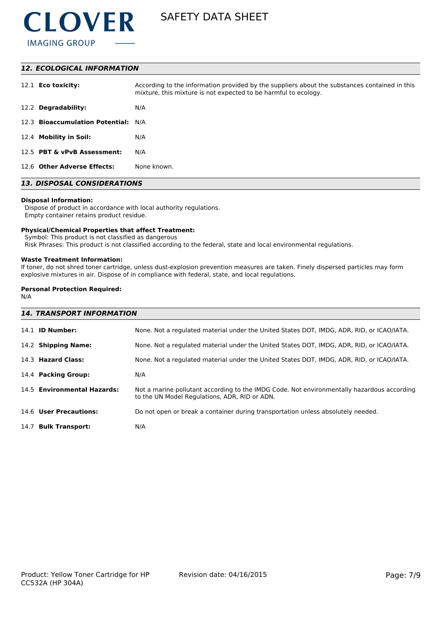

#### *12. ECOLOGICAL INFORMATION*

| 12.1 <b>Eco toxicity:</b>           | According to the information provided by the suppliers about the substances contained in this<br>mixture, this mixture is not expected to be harmful to ecology. |
|-------------------------------------|------------------------------------------------------------------------------------------------------------------------------------------------------------------|
| 12.2 Degradability:                 | N/A                                                                                                                                                              |
| 12.3 Bioaccumulation Potential: N/A |                                                                                                                                                                  |
| 12.4 Mobility in Soil:              | N/A                                                                                                                                                              |
| 12.5 PBT & vPvB Assessment:         | N/A                                                                                                                                                              |
| 12.6 Other Adverse Effects:         | None known.                                                                                                                                                      |

# *13. DISPOSAL CONSIDERATIONS*

#### **Disposal Information:**

 Dispose of product in accordance with local authority regulations. Empty container retains product residue.

#### **Physical/Chemical Properties that affect Treatment:**

Symbol: This product is not classified as dangerous

Risk Phrases: This product is not classified according to the federal, state and local environmental regulations.

#### **Waste Treatment Information:**

If toner, do not shred toner cartridge, unless dust-explosion prevention measures are taken. Finely dispersed particles may form explosive mixtures in air. Dispose of in compliance with federal, state, and local regulations.

### **Personal Protection Required:**

N/A

| <b>14. TRANSPORT INFORMATION</b> |                                                                                                                                             |  |
|----------------------------------|---------------------------------------------------------------------------------------------------------------------------------------------|--|
| 14.1 <b>ID Number:</b>           | None. Not a regulated material under the United States DOT, IMDG, ADR, RID, or ICAO/IATA.                                                   |  |
| 14.2 Shipping Name:              | None. Not a regulated material under the United States DOT, IMDG, ADR, RID, or ICAO/IATA.                                                   |  |
| 14.3 Hazard Class:               | None. Not a regulated material under the United States DOT, IMDG, ADR, RID, or ICAO/IATA.                                                   |  |
| 14.4 Packing Group:              | N/A                                                                                                                                         |  |
| 14.5 Environmental Hazards:      | Not a marine pollutant according to the IMDG Code. Not environmentally hazardous according<br>to the UN Model Regulations, ADR, RID or ADN. |  |
| 14.6 User Precautions:           | Do not open or break a container during transportation unless absolutely needed.                                                            |  |
| 14.7 Bulk Transport:             | N/A                                                                                                                                         |  |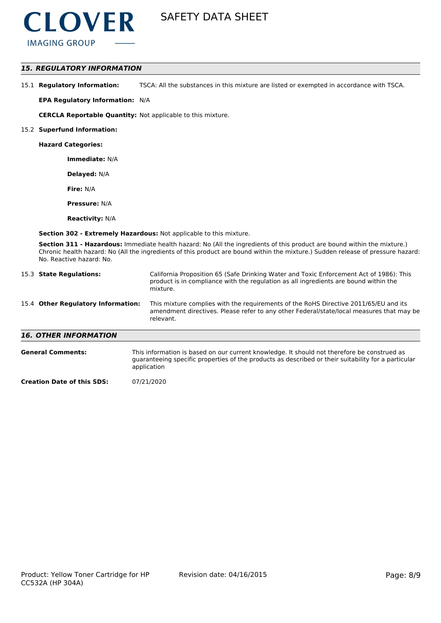

### *15. REGULATORY INFORMATION*

15.1 **Regulatory Information:** TSCA: All the substances in this mixture are listed or exempted in accordance with TSCA.

**EPA Regulatory Information:** N/A

**CERCLA Reportable Quantity:** Not applicable to this mixture.

#### 15.2 **Superfund Information:**

**Hazard Categories:**

**Immediate:** N/A

**Delayed:** N/A

**Fire:** N/A

**Pressure:** N/A

**Reactivity:** N/A

**Section 302 - Extremely Hazardous:** Not applicable to this mixture.

**Section 311 - Hazardous:** Immediate health hazard: No (All the ingredients of this product are bound within the mixture.) Chronic health hazard: No (All the ingredients of this product are bound within the mixture.) Sudden release of pressure hazard: No. Reactive hazard: No.

|                                    | 15.3 State Regulations:      | California Proposition 65 (Safe Drinking Water and Toxic Enforcement Act of 1986): This<br>product is in compliance with the regulation as all ingredients are bound within the<br>mixture.   |  |  |
|------------------------------------|------------------------------|-----------------------------------------------------------------------------------------------------------------------------------------------------------------------------------------------|--|--|
| 15.4 Other Regulatory Information: |                              | This mixture complies with the requirements of the RoHS Directive 2011/65/EU and its<br>amendment directives. Please refer to any other Federal/state/local measures that may be<br>relevant. |  |  |
|                                    | <b>16. OTHER INFORMATION</b> |                                                                                                                                                                                               |  |  |
|                                    | <b>General Comments:</b>     | This information is based on our current knowledge. It should not therefore be construed as                                                                                                   |  |  |

| erar comments. | THIS IMPORTMENT IS DASED ON OUR CUTTENT KNOWIEDGE. It SHOUID NOT THEREFORE DE CONSTIDED AS          |
|----------------|-----------------------------------------------------------------------------------------------------|
|                | guaranteeing specific properties of the products as described or their suitability for a particular |
|                | application                                                                                         |

**Creation Date of this SDS:** 07/21/2020